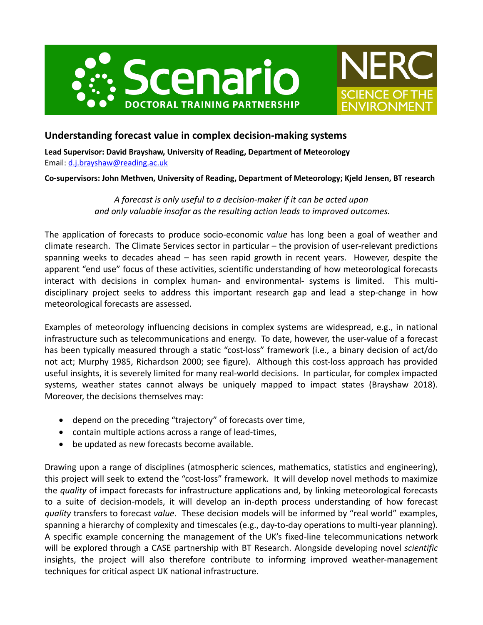



# **Understanding forecast value in complex decision-making systems**

**Lead Supervisor: David Brayshaw, University of Reading, Department of Meteorology** Email: d.j.brayshaw@reading.ac.uk

**Co-supervisors: John Methven, University of Reading, Department of Meteorology; Kjeld Jensen, BT research**

*A forecast is only useful to a decision-maker if it can be acted upon and only valuable insofar as the resulting action leads to improved outcomes.*

The application of forecasts to produce socio-economic *value* has long been a goal of weather and climate research. The Climate Services sector in particular – the provision of user-relevant predictions spanning weeks to decades ahead – has seen rapid growth in recent years. However, despite the apparent "end use" focus of these activities, scientific understanding of how meteorological forecasts interact with decisions in complex human- and environmental- systems is limited. This multidisciplinary project seeks to address this important research gap and lead a step-change in how meteorological forecasts are assessed.

Examples of meteorology influencing decisions in complex systems are widespread, e.g., in national infrastructure such as telecommunications and energy. To date, however, the user-value of a forecast has been typically measured through a static "cost-loss" framework (i.e., a binary decision of act/do not act; Murphy 1985, Richardson 2000; see figure). Although this cost-loss approach has provided useful insights, it is severely limited for many real-world decisions. In particular, for complex impacted systems, weather states cannot always be uniquely mapped to impact states (Brayshaw 2018). Moreover, the decisions themselves may:

- depend on the preceding "trajectory" of forecasts over time,
- contain multiple actions across a range of lead-times,
- be updated as new forecasts become available.

Drawing upon a range of disciplines (atmospheric sciences, mathematics, statistics and engineering), this project will seek to extend the "cost-loss" framework. It will develop novel methods to maximize the *quality* of impact forecasts for infrastructure applications and, by linking meteorological forecasts to a suite of decision-models, it will develop an in-depth process understanding of how forecast *quality* transfers to forecast *value*. These decision models will be informed by "real world" examples, spanning a hierarchy of complexity and timescales (e.g., day-to-day operations to multi-year planning). A specific example concerning the management of the UK's fixed-line telecommunications network will be explored through a CASE partnership with BT Research. Alongside developing novel *scientific* insights, the project will also therefore contribute to informing improved weather-management techniques for critical aspect UK national infrastructure.